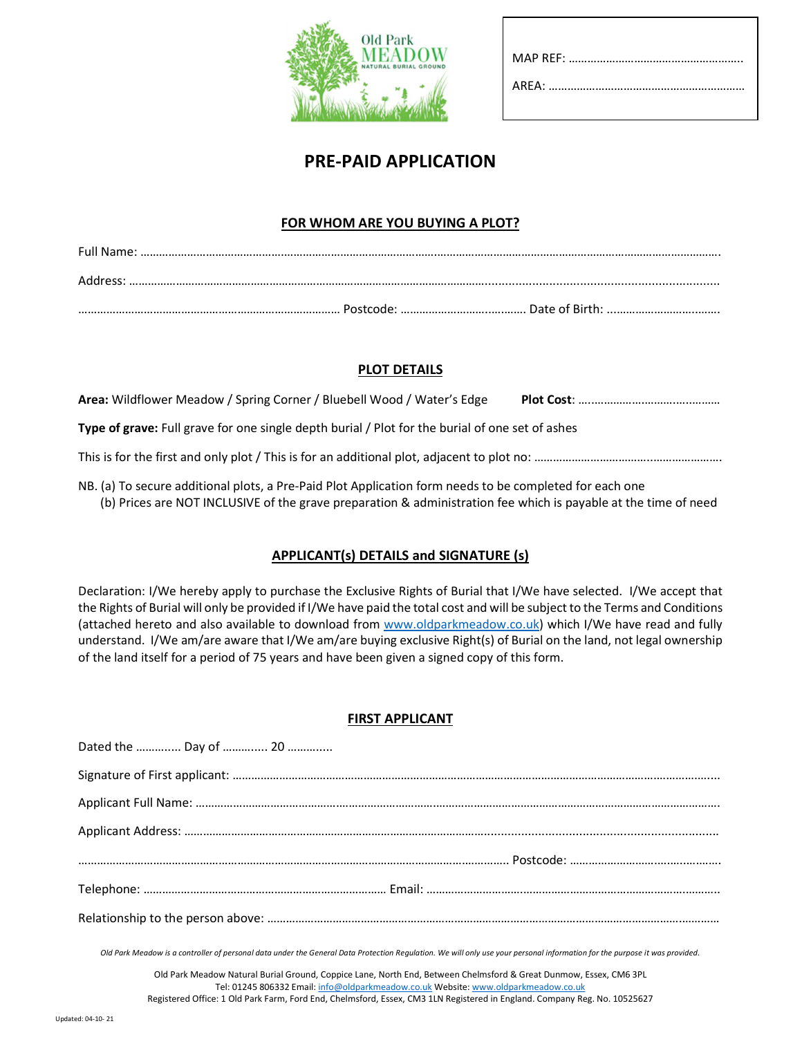

# PRE-PAID APPLICATION

#### FOR WHOM ARE YOU BUYING A PLOT?

| Full Name: |           |                    |
|------------|-----------|--------------------|
| Address    |           |                    |
|            | Postcode: | . Date of Birth: . |

## PLOT DETAILS

| Area: Wildflower Meadow / Spring Corner / Bluebell Wood / Water's Edge                          |  |  |
|-------------------------------------------------------------------------------------------------|--|--|
| Type of grave: Full grave for one single depth burial / Plot for the burial of one set of ashes |  |  |
|                                                                                                 |  |  |

NB. (a) To secure additional plots, a Pre-Paid Plot Application form needs to be completed for each one (b) Prices are NOT INCLUSIVE of the grave preparation & administration fee which is payable at the time of need

# APPLICANT(s) DETAILS and SIGNATURE (s)

Declaration: I/We hereby apply to purchase the Exclusive Rights of Burial that I/We have selected. I/We accept that the Rights of Burial will only be provided if I/We have paid the total cost and will be subject to the Terms and Conditions (attached hereto and also available to download from www.oldparkmeadow.co.uk) which I/We have read and fully understand. I/We am/are aware that I/We am/are buying exclusive Right(s) of Burial on the land, not legal ownership of the land itself for a period of 75 years and have been given a signed copy of this form.

## FIRST APPLICANT

| Dated the  Day of  20 |  |
|-----------------------|--|
|                       |  |
|                       |  |
|                       |  |
|                       |  |
|                       |  |
|                       |  |

Old Park Meadow is a controller of personal data under the General Data Protection Regulation. We will only use your personal information for the purpose it was provided.

Old Park Meadow Natural Burial Ground, Coppice Lane, North End, Between Chelmsford & Great Dunmow, Essex, CM6 3PL Tel: 01245 806332 Email: info@oldparkmeadow.co.uk Website: www.oldparkmeadow.co.uk Registered Office: 1 Old Park Farm, Ford End, Chelmsford, Essex, CM3 1LN Registered in England. Company Reg. No. 10525627